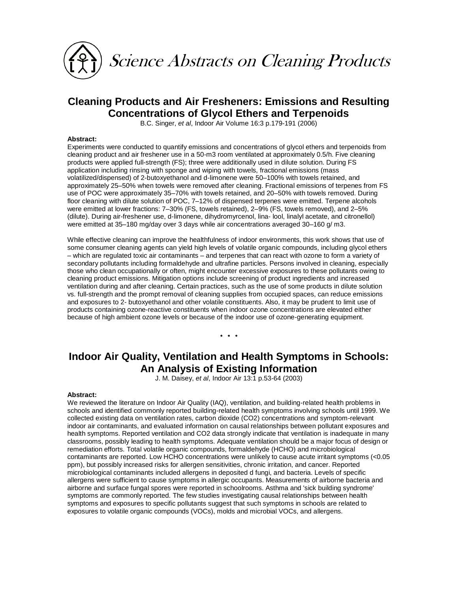

# **Cleaning Products and Air Fresheners: Emissions and Resulting Concentrations of Glycol Ethers and Terpenoids**

B.C. Singer, *et al*, Indoor Air Volume 16:3 p.179-191 (2006)

### **Abstract:**

Experiments were conducted to quantify emissions and concentrations of glycol ethers and terpenoids from cleaning product and air freshener use in a 50-m3 room ventilated at approximately 0.5/h. Five cleaning products were applied full-strength (FS); three were additionally used in dilute solution. During FS application including rinsing with sponge and wiping with towels, fractional emissions (mass volatilized/dispensed) of 2-butoxyethanol and d-limonene were 50–100% with towels retained, and approximately 25–50% when towels were removed after cleaning. Fractional emissions of terpenes from FS use of POC were approximately 35–70% with towels retained, and 20–50% with towels removed. During floor cleaning with dilute solution of POC, 7-12% of dispensed terpenes were emitted. Terpene alcohols were emitted at lower fractions: 7–30% (FS, towels retained), 2–9% (FS, towels removed), and 2–5% (dilute). During air-freshener use, d-limonene, dihydromyrcenol, lina- lool, linalyl acetate, and citronellol) were emitted at 35–180 mg/day over 3 days while air concentrations averaged 30–160 g/ m3.

While effective cleaning can improve the healthfulness of indoor environments, this work shows that use of some consumer cleaning agents can yield high levels of volatile organic compounds, including glycol ethers – which are regulated toxic air contaminants – and terpenes that can react with ozone to form a variety of secondary pollutants including formaldehyde and ultrafine particles. Persons involved in cleaning, especially those who clean occupationally or often, might encounter excessive exposures to these pollutants owing to cleaning product emissions. Mitigation options include screening of product ingredients and increased ventilation during and after cleaning. Certain practices, such as the use of some products in dilute solution vs. full-strength and the prompt removal of cleaning supplies from occupied spaces, can reduce emissions and exposures to 2- butoxyethanol and other volatile constituents. Also, it may be prudent to limit use of products containing ozone-reactive constituents when indoor ozone concentrations are elevated either because of high ambient ozone levels or because of the indoor use of ozone-generating equipment.

\* \* \*

## **Indoor Air Quality, Ventilation and Health Symptoms in Schools: An Analysis of Existing Information**

J. M. Daisey, *et al*, Indoor Air 13:1 p.53-64 (2003)

### **Abstract:**

We reviewed the literature on Indoor Air Quality (IAQ), ventilation, and building-related health problems in schools and identified commonly reported building-related health symptoms involving schools until 1999. We collected existing data on ventilation rates, carbon dioxide (CO2) concentrations and symptom-relevant indoor air contaminants, and evaluated information on causal relationships between pollutant exposures and health symptoms. Reported ventilation and CO2 data strongly indicate that ventilation is inadequate in many classrooms, possibly leading to health symptoms. Adequate ventilation should be a major focus of design or remediation efforts. Total volatile organic compounds, formaldehyde (HCHO) and microbiological contaminants are reported. Low HCHO concentrations were unlikely to cause acute irritant symptoms (<0.05 ppm), but possibly increased risks for allergen sensitivities, chronic irritation, and cancer. Reported microbiological contaminants included allergens in deposited d fungi, and bacteria. Levels of specific allergens were sufficient to cause symptoms in allergic occupants. Measurements of airborne bacteria and airborne and surface fungal spores were reported in schoolrooms. Asthma and 'sick building syndrome' symptoms are commonly reported. The few studies investigating causal relationships between health symptoms and exposures to specific pollutants suggest that such symptoms in schools are related to exposures to volatile organic compounds (VOCs), molds and microbial VOCs, and allergens.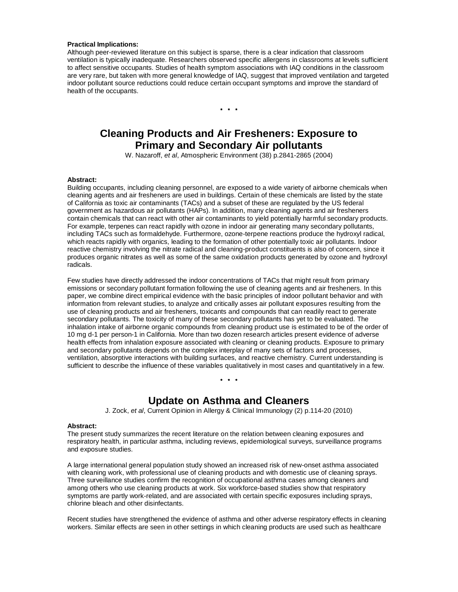### **Practical Implications:**

Although peer-reviewed literature on this subject is sparse, there is a clear indication that classroom ventilation is typically inadequate. Researchers observed specific allergens in classrooms at levels sufficient to affect sensitive occupants. Studies of health symptom associations with IAQ conditions in the classroom are very rare, but taken with more general knowledge of IAQ, suggest that improved ventilation and targeted indoor pollutant source reductions could reduce certain occupant symptoms and improve the standard of health of the occupants.

\* \* \*

# **Cleaning Products and Air Fresheners: Exposure to Primary and Secondary Air pollutants**

W. Nazaroff, *et al*, Atmospheric Environment (38) p.2841-2865 (2004)

### **Abstract:**

Building occupants, including cleaning personnel, are exposed to a wide variety of airborne chemicals when cleaning agents and air fresheners are used in buildings. Certain of these chemicals are listed by the state of California as toxic air contaminants (TACs) and a subset of these are regulated by the US federal government as hazardous air pollutants (HAPs). In addition, many cleaning agents and air fresheners contain chemicals that can react with other air contaminants to yield potentially harmful secondary products. For example, terpenes can react rapidly with ozone in indoor air generating many secondary pollutants, including TACs such as formaldehyde. Furthermore, ozone-terpene reactions produce the hydroxyl radical, which reacts rapidly with organics, leading to the formation of other potentially toxic air pollutants. Indoor reactive chemistry involving the nitrate radical and cleaning-product constituents is also of concern, since it produces organic nitrates as well as some of the same oxidation products generated by ozone and hydroxyl radicals.

Few studies have directly addressed the indoor concentrations of TACs that might result from primary emissions or secondary pollutant formation following the use of cleaning agents and air fresheners. In this paper, we combine direct empirical evidence with the basic principles of indoor pollutant behavior and with information from relevant studies, to analyze and critically asses air pollutant exposures resulting from the use of cleaning products and air fresheners, toxicants and compounds that can readily react to generate secondary pollutants. The toxicity of many of these secondary pollutants has yet to be evaluated. The inhalation intake of airborne organic compounds from cleaning product use is estimated to be of the order of 10 mg d-1 per person-1 in California. More than two dozen research articles present evidence of adverse health effects from inhalation exposure associated with cleaning or cleaning products. Exposure to primary and secondary pollutants depends on the complex interplay of many sets of factors and processes, ventilation, absorptive interactions with building surfaces, and reactive chemistry. Current understanding is sufficient to describe the influence of these variables qualitatively in most cases and quantitatively in a few.

\* \* \*

### **Update on Asthma and Cleaners**

J. Zock, *et al*, Current Opinion in Allergy & Clinical Immunology (2) p.114-20 (2010)

### **Abstract:**

The present study summarizes the recent literature on the relation between cleaning exposures and respiratory health, in particular asthma, including reviews, epidemiological surveys, surveillance programs and exposure studies.

A large international general population study showed an increased risk of new-onset asthma associated with cleaning work, with professional use of cleaning products and with domestic use of cleaning sprays. Three surveillance studies confirm the recognition of occupational asthma cases among cleaners and among others who use cleaning products at work. Six workforce-based studies show that respiratory symptoms are partly work-related, and are associated with certain specific exposures including sprays, chlorine bleach and other disinfectants.

Recent studies have strengthened the evidence of asthma and other adverse respiratory effects in cleaning workers. Similar effects are seen in other settings in which cleaning products are used such as healthcare